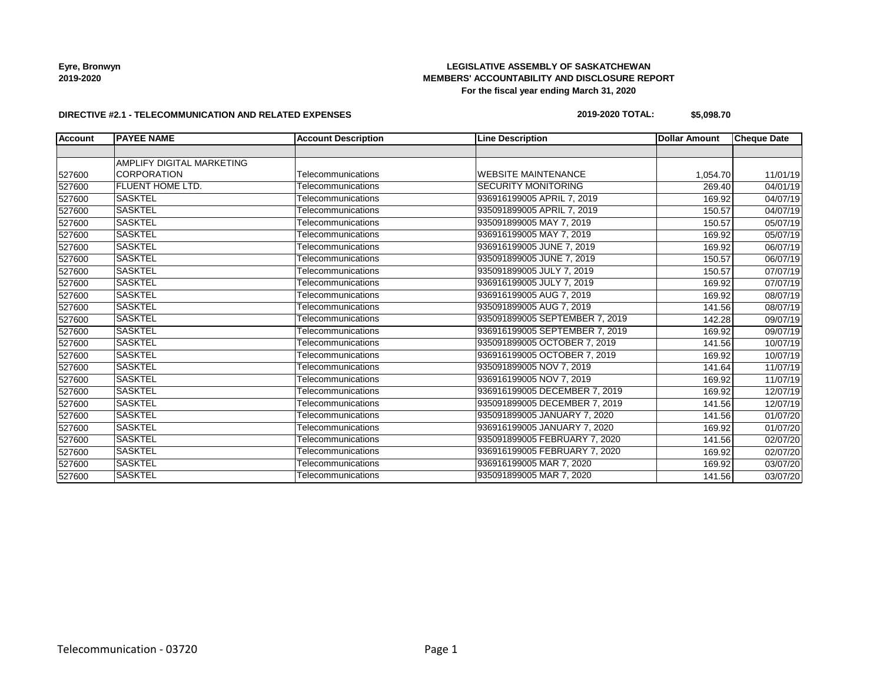# **LEGISLATIVE ASSEMBLY OF SASKATCHEWAN MEMBERS' ACCOUNTABILITY AND DISCLOSURE REPORT For the fiscal year ending March 31, 2020**

#### **DIRECTIVE #2.1 - TELECOMMUNICATION AND RELATED EXPENSES**

### **2019-2020 TOTAL: \$5,098.70**

| <b>Account</b> | <b>PAYEE NAME</b>         | <b>Account Description</b> | <b>Line Description</b>        | <b>Dollar Amount</b> | <b>Cheque Date</b> |
|----------------|---------------------------|----------------------------|--------------------------------|----------------------|--------------------|
|                |                           |                            |                                |                      |                    |
|                | AMPLIFY DIGITAL MARKETING |                            |                                |                      |                    |
| 527600         | <b>CORPORATION</b>        | Telecommunications         | <b>WEBSITE MAINTENANCE</b>     | 1,054.70             | 11/01/19           |
| 527600         | <b>FLUENT HOME LTD.</b>   | Telecommunications         | <b>SECURITY MONITORING</b>     | 269.40               | 04/01/19           |
| 527600         | <b>SASKTEL</b>            | Telecommunications         | 936916199005 APRIL 7, 2019     | 169.92               | 04/07/19           |
| 527600         | <b>SASKTEL</b>            | Telecommunications         | 935091899005 APRIL 7, 2019     | 150.57               | 04/07/19           |
| 527600         | <b>SASKTEL</b>            | Telecommunications         | 935091899005 MAY 7, 2019       | 150.57               | 05/07/19           |
| 527600         | <b>SASKTEL</b>            | Telecommunications         | 936916199005 MAY 7, 2019       | 169.92               | 05/07/19           |
| 527600         | <b>SASKTEL</b>            | Telecommunications         | 936916199005 JUNE 7, 2019      | 169.92               | 06/07/19           |
| 527600         | <b>SASKTEL</b>            | Telecommunications         | 935091899005 JUNE 7, 2019      | 150.57               | 06/07/19           |
| 527600         | SASKTEL                   | Telecommunications         | 935091899005 JULY 7, 2019      | 150.57               | 07/07/19           |
| 527600         | <b>SASKTEL</b>            | Telecommunications         | 936916199005 JULY 7, 2019      | 169.92               | 07/07/19           |
| 527600         | <b>SASKTEL</b>            | Telecommunications         | 936916199005 AUG 7, 2019       | 169.92               | 08/07/19           |
| 527600         | <b>SASKTEL</b>            | Telecommunications         | 935091899005 AUG 7, 2019       | 141.56               | 08/07/19           |
| 527600         | <b>SASKTEL</b>            | Telecommunications         | 935091899005 SEPTEMBER 7, 2019 | 142.28               | 09/07/19           |
| 527600         | <b>SASKTEL</b>            | Telecommunications         | 936916199005 SEPTEMBER 7, 2019 | 169.92               | 09/07/19           |
| 527600         | <b>SASKTEL</b>            | Telecommunications         | 935091899005 OCTOBER 7, 2019   | 141.56               | 10/07/19           |
| 527600         | <b>SASKTEL</b>            | Telecommunications         | 936916199005 OCTOBER 7, 2019   | 169.92               | 10/07/19           |
| 527600         | <b>SASKTEL</b>            | Telecommunications         | 935091899005 NOV 7, 2019       | 141.64               | 11/07/19           |
| 527600         | <b>SASKTEL</b>            | Telecommunications         | 936916199005 NOV 7, 2019       | 169.92               | 11/07/19           |
| 527600         | <b>SASKTEL</b>            | Telecommunications         | 936916199005 DECEMBER 7, 2019  | 169.92               | 12/07/19           |
| 527600         | SASKTEL                   | Telecommunications         | 935091899005 DECEMBER 7, 2019  | 141.56               | 12/07/19           |
| 527600         | <b>SASKTEL</b>            | Telecommunications         | 935091899005 JANUARY 7, 2020   | 141.56               | 01/07/20           |
| 527600         | SASKTEL                   | Telecommunications         | 936916199005 JANUARY 7, 2020   | 169.92               | 01/07/20           |
| 527600         | <b>SASKTEL</b>            | Telecommunications         | 935091899005 FEBRUARY 7, 2020  | 141.56               | 02/07/20           |
| 527600         | <b>SASKTEL</b>            | Telecommunications         | 936916199005 FEBRUARY 7, 2020  | 169.92               | 02/07/20           |
| 527600         | <b>SASKTEL</b>            | Telecommunications         | 936916199005 MAR 7, 2020       | 169.92               | 03/07/20           |
| 527600         | <b>SASKTEL</b>            | Telecommunications         | 935091899005 MAR 7, 2020       | 141.56               | 03/07/20           |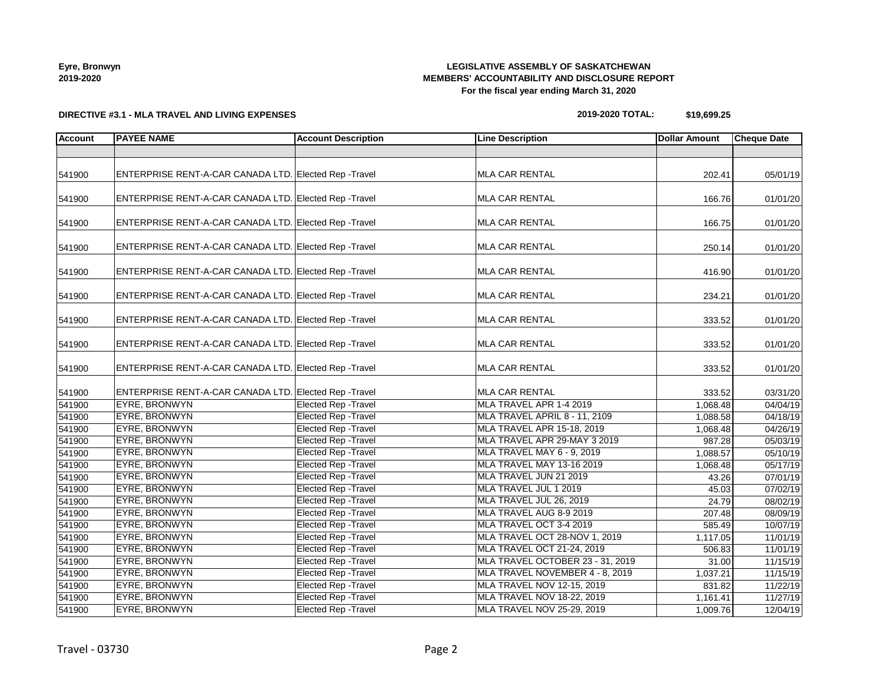# **LEGISLATIVE ASSEMBLY OF SASKATCHEWAN MEMBERS' ACCOUNTABILITY AND DISCLOSURE REPORT For the fiscal year ending March 31, 2020**

**DIRECTIVE #3.1 - MLA TRAVEL AND LIVING EXPENSES**

### **2019-2020 TOTAL: \$19,699.25**

| <b>Account</b> | <b>PAYEE NAME</b>                                     | <b>Account Description</b>  | <b>Line Description</b>           | <b>Dollar Amount</b> | <b>Cheque Date</b>    |
|----------------|-------------------------------------------------------|-----------------------------|-----------------------------------|----------------------|-----------------------|
|                |                                                       |                             |                                   |                      |                       |
| 541900         | ENTERPRISE RENT-A-CAR CANADA LTD. Elected Rep -Travel |                             | <b>MLA CAR RENTAL</b>             | 202.41               | 05/01/19              |
| 541900         | ENTERPRISE RENT-A-CAR CANADA LTD. Elected Rep -Travel |                             | <b>MLA CAR RENTAL</b>             | 166.76               | 01/01/20              |
| 541900         | ENTERPRISE RENT-A-CAR CANADA LTD. Elected Rep -Travel |                             | MLA CAR RENTAL                    | 166.75               | 01/01/20              |
| 541900         | ENTERPRISE RENT-A-CAR CANADA LTD. Elected Rep -Travel |                             | <b>MLA CAR RENTAL</b>             | 250.14               | 01/01/20              |
| 541900         | ENTERPRISE RENT-A-CAR CANADA LTD. Elected Rep -Travel |                             | <b>MLA CAR RENTAL</b>             | 416.90               | 01/01/20              |
| 541900         | ENTERPRISE RENT-A-CAR CANADA LTD. Elected Rep -Travel |                             | <b>MLA CAR RENTAL</b>             | 234.21               | 01/01/20              |
| 541900         | ENTERPRISE RENT-A-CAR CANADA LTD. Elected Rep -Travel |                             | <b>MLA CAR RENTAL</b>             | 333.52               | 01/01/20              |
| 541900         | ENTERPRISE RENT-A-CAR CANADA LTD. Elected Rep -Travel |                             | <b>MLA CAR RENTAL</b>             | 333.52               | 01/01/20              |
| 541900         | ENTERPRISE RENT-A-CAR CANADA LTD. Elected Rep -Travel |                             | <b>MLA CAR RENTAL</b>             | 333.52               | 01/01/20              |
| 541900         | ENTERPRISE RENT-A-CAR CANADA LTD. Elected Rep -Travel |                             | <b>MLA CAR RENTAL</b>             | 333.52               | 03/31/20              |
| 541900         | EYRE, BRONWYN                                         | Elected Rep - Travel        | MLA TRAVEL APR 1-4 2019           | 1,068.48             | $\overline{04/04/19}$ |
| 541900         | EYRE, BRONWYN                                         | <b>Elected Rep - Travel</b> | MLA TRAVEL APRIL 8 - 11, 2109     | 1,088.58             | 04/18/19              |
| 541900         | EYRE, BRONWYN                                         | <b>Elected Rep - Travel</b> | MLA TRAVEL APR 15-18, 2019        | 1,068.48             | 04/26/19              |
| 541900         | EYRE, BRONWYN                                         | <b>Elected Rep - Travel</b> | MLA TRAVEL APR 29-MAY 3 2019      | 987.28               | 05/03/19              |
| 541900         | EYRE, BRONWYN                                         | <b>Elected Rep - Travel</b> | MLA TRAVEL MAY 6 - 9, 2019        | 1,088.57             | 05/10/19              |
| 541900         | EYRE, BRONWYN                                         | <b>Elected Rep - Travel</b> | MLA TRAVEL MAY 13-16 2019         | 1,068.48             | 05/17/19              |
| 541900         | EYRE, BRONWYN                                         | <b>Elected Rep - Travel</b> | MLA TRAVEL JUN 21 2019            | 43.26                | 07/01/19              |
| 541900         | EYRE, BRONWYN                                         | <b>Elected Rep - Travel</b> | MLA TRAVEL JUL 1 2019             | 45.03                | 07/02/19              |
| 541900         | EYRE, BRONWYN                                         | <b>Elected Rep - Travel</b> | MLA TRAVEL JUL 26, 2019           | 24.79                | 08/02/19              |
| 541900         | EYRE, BRONWYN                                         | Elected Rep - Travel        | MLA TRAVEL AUG 8-9 2019           | 207.48               | 08/09/19              |
| 541900         | EYRE, BRONWYN                                         | <b>Elected Rep - Travel</b> | MLA TRAVEL OCT 3-4 2019           | 585.49               | 10/07/19              |
| 541900         | EYRE, BRONWYN                                         | <b>Elected Rep - Travel</b> | MLA TRAVEL OCT 28-NOV 1, 2019     | 1,117.05             | 11/01/19              |
| 541900         | EYRE, BRONWYN                                         | <b>Elected Rep - Travel</b> | MLA TRAVEL OCT 21-24, 2019        | 506.83               | 11/01/19              |
| 541900         | EYRE, BRONWYN                                         | <b>Elected Rep - Travel</b> | MLA TRAVEL OCTOBER 23 - 31, 2019  | 31.00                | 11/15/19              |
| 541900         | EYRE, BRONWYN                                         | <b>Elected Rep - Travel</b> | MLA TRAVEL NOVEMBER 4 - 8, 2019   | 1,037.21             | 11/15/19              |
| 541900         | EYRE, BRONWYN                                         | Elected Rep - Travel        | MLA TRAVEL NOV 12-15, 2019        | 831.82               | 11/22/19              |
| 541900         | EYRE, BRONWYN                                         | <b>Elected Rep - Travel</b> | <b>MLA TRAVEL NOV 18-22, 2019</b> | 1,161.41             | 11/27/19              |
| 541900         | EYRE, BRONWYN                                         | <b>Elected Rep - Travel</b> | MLA TRAVEL NOV 25-29, 2019        | 1,009.76             | 12/04/19              |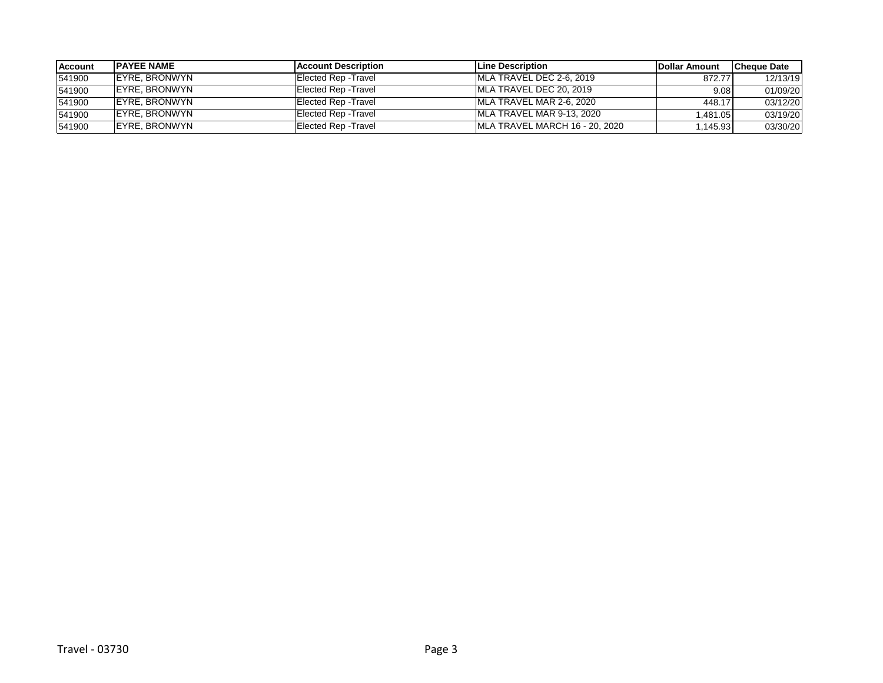| <b>Account</b> | <b>IPAYEE NAME</b>    | <b>IAccount Description</b> | <b>ILine Description</b>       | <b>IDollar Amount</b> | <b>Cheque Date</b> |
|----------------|-----------------------|-----------------------------|--------------------------------|-----------------------|--------------------|
| 541900         | IEYRE. BRONWYN        | <b>Elected Rep - Travel</b> | IMLA TRAVEL DEC 2-6, 2019      | 872.77                | 12/13/19           |
| 541900         | <b>IEYRE, BRONWYN</b> | <b>Elected Rep - Travel</b> | IMLA TRAVEL DEC 20, 2019       | 9.08                  | 01/09/20           |
| 541900         | IEYRE. BRONWYN        | <b>Elected Rep - Travel</b> | IMLA TRAVEL MAR 2-6, 2020      | 448.17                | 03/12/20           |
| 541900         | IEYRE. BRONWYN        | Elected Rep - Travel        | MLA TRAVEL MAR 9-13, 2020      | .481.05               | 03/19/20           |
| 541900         | <b>IEYRE, BRONWYN</b> | Elected Rep - Travel        | MLA TRAVEL MARCH 16 - 20, 2020 | .145.93               | 03/30/20           |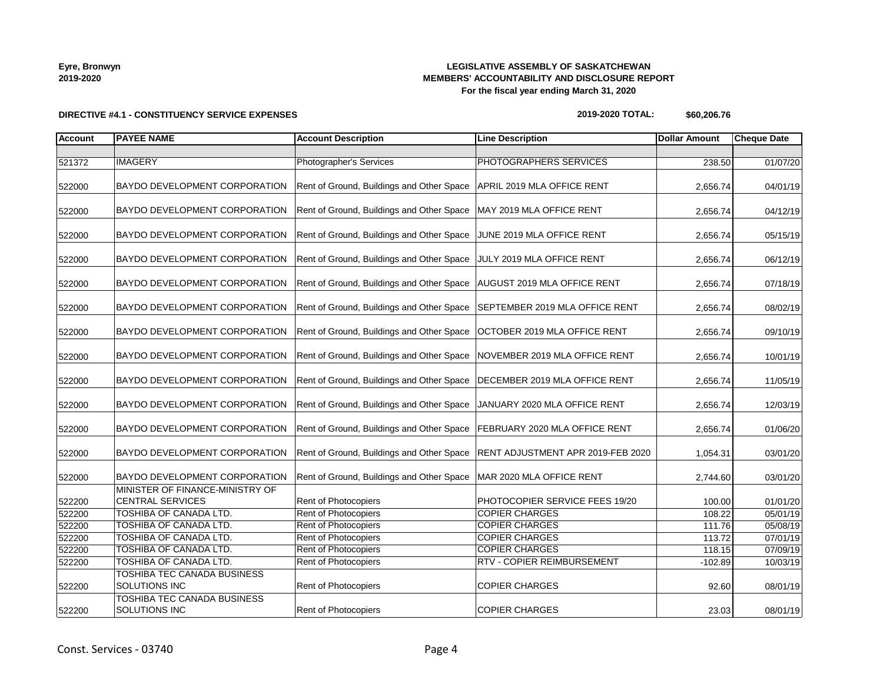# **LEGISLATIVE ASSEMBLY OF SASKATCHEWAN MEMBERS' ACCOUNTABILITY AND DISCLOSURE REPORT For the fiscal year ending March 31, 2020**

### **2019-2020 TOTAL: \$60,206.76**

| <b>Account</b> | <b>PAYEE NAME</b>                                          | <b>Account Description</b>                                             | <b>Line Description</b>           | <b>Dollar Amount</b> | <b>Cheque Date</b> |
|----------------|------------------------------------------------------------|------------------------------------------------------------------------|-----------------------------------|----------------------|--------------------|
|                |                                                            |                                                                        |                                   |                      |                    |
| 521372         | <b>IMAGERY</b>                                             | Photographer's Services                                                | PHOTOGRAPHERS SERVICES            | 238.50               | 01/07/20           |
| 522000         | BAYDO DEVELOPMENT CORPORATION                              | Rent of Ground, Buildings and Other Space   APRIL 2019 MLA OFFICE RENT |                                   | 2,656.74             | 04/01/19           |
| 522000         | BAYDO DEVELOPMENT CORPORATION                              | Rent of Ground, Buildings and Other Space                              | MAY 2019 MLA OFFICE RENT          | 2,656.74             | 04/12/19           |
| 522000         | BAYDO DEVELOPMENT CORPORATION                              | Rent of Ground, Buildings and Other Space                              | JUNE 2019 MLA OFFICE RENT         | 2,656.74             | 05/15/19           |
| 522000         | BAYDO DEVELOPMENT CORPORATION                              | Rent of Ground, Buildings and Other Space                              | JULY 2019 MLA OFFICE RENT         | 2,656.74             | 06/12/19           |
| 522000         | BAYDO DEVELOPMENT CORPORATION                              | Rent of Ground, Buildings and Other Space                              | AUGUST 2019 MLA OFFICE RENT       | 2,656.74             | 07/18/19           |
| 522000         | BAYDO DEVELOPMENT CORPORATION                              | Rent of Ground, Buildings and Other Space                              | SEPTEMBER 2019 MLA OFFICE RENT    | 2,656.74             | 08/02/19           |
| 522000         | BAYDO DEVELOPMENT CORPORATION                              | Rent of Ground, Buildings and Other Space                              | OCTOBER 2019 MLA OFFICE RENT      | 2,656.74             | 09/10/19           |
| 522000         | BAYDO DEVELOPMENT CORPORATION                              | Rent of Ground, Buildings and Other Space                              | NOVEMBER 2019 MLA OFFICE RENT     | 2,656.74             | 10/01/19           |
| 522000         | BAYDO DEVELOPMENT CORPORATION                              | Rent of Ground, Buildings and Other Space                              | DECEMBER 2019 MLA OFFICE RENT     | 2,656.74             | 11/05/19           |
| 522000         | BAYDO DEVELOPMENT CORPORATION                              | Rent of Ground, Buildings and Other Space                              | JANUARY 2020 MLA OFFICE RENT      | 2,656.74             | 12/03/19           |
| 522000         | BAYDO DEVELOPMENT CORPORATION                              | Rent of Ground, Buildings and Other Space                              | FEBRUARY 2020 MLA OFFICE RENT     | 2,656.74             | 01/06/20           |
| 522000         | BAYDO DEVELOPMENT CORPORATION                              | Rent of Ground, Buildings and Other Space                              | RENT ADJUSTMENT APR 2019-FEB 2020 | 1,054.31             | 03/01/20           |
| 522000         | BAYDO DEVELOPMENT CORPORATION                              | Rent of Ground, Buildings and Other Space   MAR 2020 MLA OFFICE RENT   |                                   | 2,744.60             | 03/01/20           |
| 522200         | MINISTER OF FINANCE-MINISTRY OF<br><b>CENTRAL SERVICES</b> | <b>Rent of Photocopiers</b>                                            | PHOTOCOPIER SERVICE FEES 19/20    | 100.00               | 01/01/20           |
| 522200         | TOSHIBA OF CANADA LTD.                                     | <b>Rent of Photocopiers</b>                                            | <b>COPIER CHARGES</b>             | 108.22               | 05/01/19           |
| 522200         | TOSHIBA OF CANADA LTD.                                     | <b>Rent of Photocopiers</b>                                            | <b>COPIER CHARGES</b>             | 111.76               | 05/08/19           |
| 522200         | TOSHIBA OF CANADA LTD.                                     | <b>Rent of Photocopiers</b>                                            | <b>COPIER CHARGES</b>             | 113.72               | 07/01/19           |
| 522200         | TOSHIBA OF CANADA LTD.                                     | <b>Rent of Photocopiers</b>                                            | <b>COPIER CHARGES</b>             | 118.15               | 07/09/19           |
| 522200         | TOSHIBA OF CANADA LTD.                                     | Rent of Photocopiers                                                   | <b>RTV - COPIER REIMBURSEMENT</b> | $-102.89$            | 10/03/19           |
| 522200         | TOSHIBA TEC CANADA BUSINESS<br>SOLUTIONS INC               | <b>Rent of Photocopiers</b>                                            | <b>COPIER CHARGES</b>             | 92.60                | 08/01/19           |
| 522200         | TOSHIBA TEC CANADA BUSINESS<br>SOLUTIONS INC               | <b>Rent of Photocopiers</b>                                            | <b>COPIER CHARGES</b>             | 23.03                | 08/01/19           |

### **DIRECTIVE #4.1 - CONSTITUENCY SERVICE EXPENSES**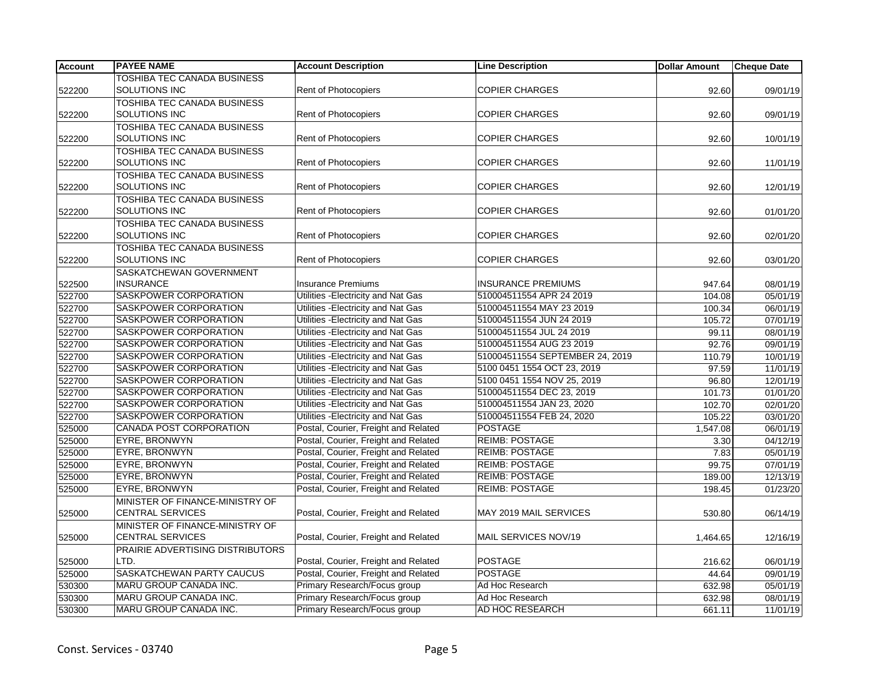| <b>Account</b> | <b>PAYEE NAME</b>                  | <b>Account Description</b>           | <b>Line Description</b>         | <b>Dollar Amount</b> | <b>Cheque Date</b>    |
|----------------|------------------------------------|--------------------------------------|---------------------------------|----------------------|-----------------------|
|                | TOSHIBA TEC CANADA BUSINESS        |                                      |                                 |                      |                       |
| 522200         | <b>SOLUTIONS INC</b>               | Rent of Photocopiers                 | <b>COPIER CHARGES</b>           | 92.60                | 09/01/19              |
|                | TOSHIBA TEC CANADA BUSINESS        |                                      |                                 |                      |                       |
| 522200         | SOLUTIONS INC                      | Rent of Photocopiers                 | <b>COPIER CHARGES</b>           | 92.60                | 09/01/19              |
|                | <b>TOSHIBA TEC CANADA BUSINESS</b> |                                      |                                 |                      |                       |
| 522200         | SOLUTIONS INC                      | <b>Rent of Photocopiers</b>          | <b>COPIER CHARGES</b>           | 92.60                | 10/01/19              |
|                | TOSHIBA TEC CANADA BUSINESS        |                                      |                                 |                      |                       |
| 522200         | SOLUTIONS INC                      | <b>Rent of Photocopiers</b>          | <b>COPIER CHARGES</b>           | 92.60                | 11/01/19              |
|                | TOSHIBA TEC CANADA BUSINESS        |                                      |                                 |                      |                       |
| 522200         | SOLUTIONS INC                      | <b>Rent of Photocopiers</b>          | <b>COPIER CHARGES</b>           | 92.60                | 12/01/19              |
|                | <b>TOSHIBA TEC CANADA BUSINESS</b> |                                      |                                 |                      |                       |
| 522200         | <b>SOLUTIONS INC</b>               | <b>Rent of Photocopiers</b>          | <b>COPIER CHARGES</b>           | 92.60                | 01/01/20              |
|                | TOSHIBA TEC CANADA BUSINESS        |                                      |                                 |                      |                       |
| 522200         | SOLUTIONS INC                      | <b>Rent of Photocopiers</b>          | <b>COPIER CHARGES</b>           | 92.60                | 02/01/20              |
|                | TOSHIBA TEC CANADA BUSINESS        |                                      |                                 |                      |                       |
| 522200         | SOLUTIONS INC                      | <b>Rent of Photocopiers</b>          | <b>COPIER CHARGES</b>           | 92.60                | 03/01/20              |
|                | SASKATCHEWAN GOVERNMENT            |                                      |                                 |                      |                       |
| 522500         | <b>INSURANCE</b>                   | <b>Insurance Premiums</b>            | <b>INSURANCE PREMIUMS</b>       | 947.64               | 08/01/19              |
| 522700         | SASKPOWER CORPORATION              | Utilities - Electricity and Nat Gas  | 510004511554 APR 24 2019        | 104.08               | 05/01/19              |
| 522700         | SASKPOWER CORPORATION              | Utilities - Electricity and Nat Gas  | 510004511554 MAY 23 2019        | 100.34               | 06/01/19              |
| 522700         | SASKPOWER CORPORATION              | Utilities - Electricity and Nat Gas  | 510004511554 JUN 24 2019        | 105.72               | $\overline{07/01/19}$ |
| 522700         | SASKPOWER CORPORATION              | Utilities - Electricity and Nat Gas  | 510004511554 JUL 24 2019        | 99.11                | 08/01/19              |
| 522700         | SASKPOWER CORPORATION              | Utilities - Electricity and Nat Gas  | 510004511554 AUG 23 2019        | 92.76                | 09/01/19              |
| 522700         | SASKPOWER CORPORATION              | Utilities - Electricity and Nat Gas  | 510004511554 SEPTEMBER 24, 2019 | 110.79               | 10/01/19              |
| 522700         | SASKPOWER CORPORATION              | Utilities - Electricity and Nat Gas  | 5100 0451 1554 OCT 23, 2019     | 97.59                | 11/01/19              |
| 522700         | SASKPOWER CORPORATION              | Utilities - Electricity and Nat Gas  | 5100 0451 1554 NOV 25, 2019     | 96.80                | 12/01/19              |
| 522700         | SASKPOWER CORPORATION              | Utilities - Electricity and Nat Gas  | 510004511554 DEC 23, 2019       | 101.73               | 01/01/20              |
| 522700         | SASKPOWER CORPORATION              | Utilities - Electricity and Nat Gas  | 510004511554 JAN 23, 2020       | 102.70               | 02/01/20              |
| 522700         | SASKPOWER CORPORATION              | Utilities - Electricity and Nat Gas  | 510004511554 FEB 24, 2020       | 105.22               | 03/01/20              |
| 525000         | CANADA POST CORPORATION            | Postal, Courier, Freight and Related | <b>POSTAGE</b>                  | 1,547.08             | 06/01/19              |
| 525000         | EYRE, BRONWYN                      | Postal, Courier, Freight and Related | <b>REIMB: POSTAGE</b>           | 3.30                 | 04/12/19              |
| 525000         | EYRE, BRONWYN                      | Postal, Courier, Freight and Related | <b>REIMB: POSTAGE</b>           | 7.83                 | 05/01/19              |
| 525000         | EYRE, BRONWYN                      | Postal, Courier, Freight and Related | <b>REIMB: POSTAGE</b>           | 99.75                | 07/01/19              |
| 525000         | EYRE, BRONWYN                      | Postal, Courier, Freight and Related | <b>REIMB: POSTAGE</b>           | 189.00               | 12/13/19              |
| 525000         | EYRE, BRONWYN                      | Postal, Courier, Freight and Related | <b>REIMB: POSTAGE</b>           | 198.45               | 01/23/20              |
|                | MINISTER OF FINANCE-MINISTRY OF    |                                      |                                 |                      |                       |
| 525000         | <b>CENTRAL SERVICES</b>            | Postal, Courier, Freight and Related | MAY 2019 MAIL SERVICES          | 530.80               | 06/14/19              |
|                | MINISTER OF FINANCE-MINISTRY OF    |                                      |                                 |                      |                       |
| 525000         | <b>CENTRAL SERVICES</b>            | Postal, Courier, Freight and Related | MAIL SERVICES NOV/19            | 1,464.65             | 12/16/19              |
|                | PRAIRIE ADVERTISING DISTRIBUTORS   |                                      |                                 |                      |                       |
| 525000         | LTD.                               | Postal, Courier, Freight and Related | <b>POSTAGE</b>                  | 216.62               | 06/01/19              |
| 525000         | SASKATCHEWAN PARTY CAUCUS          | Postal, Courier, Freight and Related | <b>POSTAGE</b>                  | 44.64                | 09/01/19              |
| 530300         | <b>MARU GROUP CANADA INC.</b>      | Primary Research/Focus group         | Ad Hoc Research                 | 632.98               | 05/01/19              |
| 530300         | MARU GROUP CANADA INC.             | Primary Research/Focus group         | Ad Hoc Research                 | 632.98               | 08/01/19              |
| 530300         | MARU GROUP CANADA INC.             | Primary Research/Focus group         | AD HOC RESEARCH                 | 661.11               | 11/01/19              |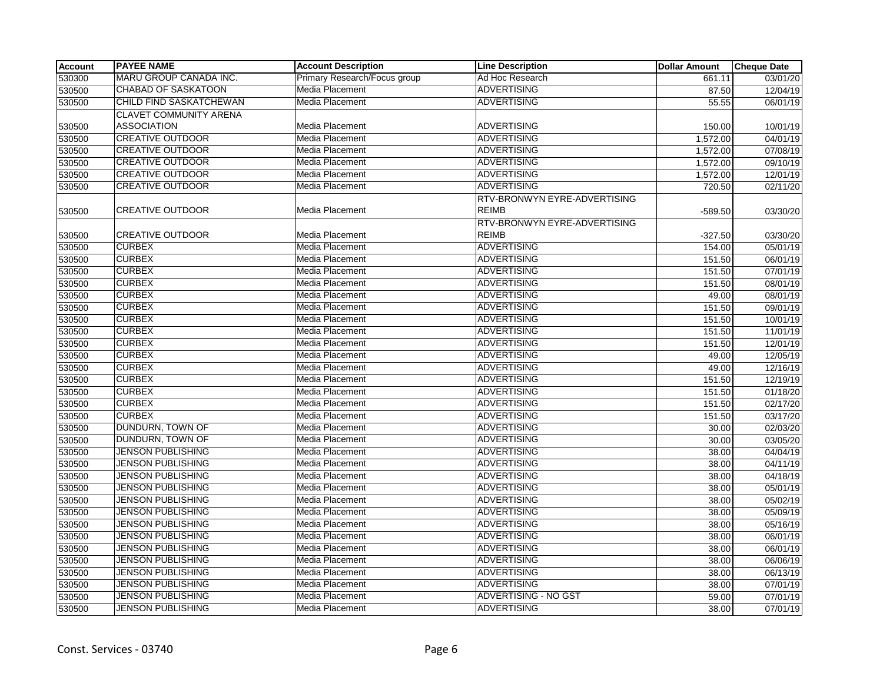| <b>Account</b> | <b>PAYEE NAME</b>              | <b>Account Description</b>   | <b>Line Description</b>                      | <b>Dollar Amount</b> | <b>Cheque Date</b> |
|----------------|--------------------------------|------------------------------|----------------------------------------------|----------------------|--------------------|
| 530300         | MARU GROUP CANADA INC.         | Primary Research/Focus group | Ad Hoc Research                              | 661.11               | 03/01/20           |
| 530500         | <b>CHABAD OF SASKATOON</b>     | Media Placement              | <b>ADVERTISING</b>                           | 87.50                | 12/04/19           |
| 530500         | <b>CHILD FIND SASKATCHEWAN</b> | <b>Media Placement</b>       | <b>ADVERTISING</b>                           | 55.55                | 06/01/19           |
|                | CLAVET COMMUNITY ARENA         |                              |                                              |                      |                    |
| 530500         | <b>ASSOCIATION</b>             | Media Placement              | <b>ADVERTISING</b>                           | 150.00               | 10/01/19           |
| 530500         | <b>CREATIVE OUTDOOR</b>        | Media Placement              | <b>ADVERTISING</b>                           | 1,572.00             | 04/01/19           |
| 530500         | <b>CREATIVE OUTDOOR</b>        | <b>Media Placement</b>       | <b>ADVERTISING</b>                           | 1,572.00             | 07/08/19           |
| 530500         | <b>CREATIVE OUTDOOR</b>        | Media Placement              | <b>ADVERTISING</b>                           | 1,572.00             | 09/10/19           |
| 530500         | <b>CREATIVE OUTDOOR</b>        | Media Placement              | <b>ADVERTISING</b>                           | 1,572.00             | 12/01/19           |
| 530500         | <b>CREATIVE OUTDOOR</b>        | <b>Media Placement</b>       | <b>ADVERTISING</b>                           | 720.50               | 02/11/20           |
| 530500         | <b>CREATIVE OUTDOOR</b>        | Media Placement              | RTV-BRONWYN EYRE-ADVERTISING<br><b>REIMB</b> | $-589.50$            | 03/30/20           |
|                |                                |                              | RTV-BRONWYN EYRE-ADVERTISING                 |                      |                    |
| 530500         | <b>CREATIVE OUTDOOR</b>        | Media Placement              | <b>REIMB</b>                                 | $-327.50$            | 03/30/20           |
| 530500         | <b>CURBEX</b>                  | Media Placement              | <b>ADVERTISING</b>                           | 154.00               | 05/01/19           |
| 530500         | <b>CURBEX</b>                  | Media Placement              | <b>ADVERTISING</b>                           | 151.50               | 06/01/19           |
| 530500         | <b>CURBEX</b>                  | Media Placement              | ADVERTISING                                  | 151.50               | 07/01/19           |
| 530500         | <b>CURBEX</b>                  | <b>Media Placement</b>       | <b>ADVERTISING</b>                           | 151.50               | 08/01/19           |
| 530500         | <b>CURBEX</b>                  | <b>Media Placement</b>       | <b>ADVERTISING</b>                           | 49.00                | 08/01/19           |
| 530500         | <b>CURBEX</b>                  | Media Placement              | <b>ADVERTISING</b>                           | 151.50               | 09/01/19           |
| 530500         | <b>CURBEX</b>                  | Media Placement              | <b>ADVERTISING</b>                           | 151.50               | 10/01/19           |
| 530500         | <b>CURBEX</b>                  | <b>Media Placement</b>       | <b>ADVERTISING</b>                           | 151.50               | 11/01/19           |
| 530500         | <b>CURBEX</b>                  | <b>Media Placement</b>       | <b>ADVERTISING</b>                           | 151.50               | 12/01/19           |
| 530500         | <b>CURBEX</b>                  | <b>Media Placement</b>       | <b>ADVERTISING</b>                           | 49.00                | 12/05/19           |
| 530500         | <b>CURBEX</b>                  | Media Placement              | <b>ADVERTISING</b>                           | 49.00                | 12/16/19           |
| 530500         | <b>CURBEX</b>                  | <b>Media Placement</b>       | <b>ADVERTISING</b>                           | 151.50               | 12/19/19           |
| 530500         | <b>CURBEX</b>                  | Media Placement              | <b>ADVERTISING</b>                           | 151.50               | 01/18/20           |
| 530500         | <b>CURBEX</b>                  | Media Placement              | <b>ADVERTISING</b>                           | 151.50               | 02/17/20           |
| 530500         | <b>CURBEX</b>                  | Media Placement              | <b>ADVERTISING</b>                           | 151.50               | 03/17/20           |
| 530500         | DUNDURN, TOWN OF               | <b>Media Placement</b>       | <b>ADVERTISING</b>                           | 30.00                | 02/03/20           |
| 530500         | <b>DUNDURN, TOWN OF</b>        | Media Placement              | <b>ADVERTISING</b>                           | 30.00                | 03/05/20           |
| 530500         | <b>JENSON PUBLISHING</b>       | <b>Media Placement</b>       | <b>ADVERTISING</b>                           | 38.00                | 04/04/19           |
| 530500         | <b>JENSON PUBLISHING</b>       | <b>Media Placement</b>       | <b>ADVERTISING</b>                           | 38.00                | 04/11/19           |
| 530500         | <b>JENSON PUBLISHING</b>       | Media Placement              | <b>ADVERTISING</b>                           | 38.00                | 04/18/19           |
| 530500         | <b>JENSON PUBLISHING</b>       | Media Placement              | <b>ADVERTISING</b>                           | 38.00                | 05/01/19           |
| 530500         | <b>JENSON PUBLISHING</b>       | <b>Media Placement</b>       | <b>ADVERTISING</b>                           | 38.00                | 05/02/19           |
| 530500         | <b>JENSON PUBLISHING</b>       | Media Placement              | <b>ADVERTISING</b>                           | 38.00                | 05/09/19           |
| 530500         | <b>JENSON PUBLISHING</b>       | Media Placement              | ADVERTISING                                  | 38.00                | 05/16/19           |
| 530500         | JENSON PUBLISHING              | <b>Media Placement</b>       | <b>ADVERTISING</b>                           | 38.00                | 06/01/19           |
| 530500         | <b>JENSON PUBLISHING</b>       | Media Placement              | ADVERTISING                                  | 38.00                | 06/01/19           |
| 530500         | <b>JENSON PUBLISHING</b>       | Media Placement              | <b>ADVERTISING</b>                           | 38.00                | 06/06/19           |
| 530500         | <b>JENSON PUBLISHING</b>       | Media Placement              | <b>ADVERTISING</b>                           | 38.00                | 06/13/19           |
| 530500         | <b>JENSON PUBLISHING</b>       | <b>Media Placement</b>       | <b>ADVERTISING</b>                           | 38.00                | 07/01/19           |
| 530500         | <b>JENSON PUBLISHING</b>       | <b>Media Placement</b>       | <b>ADVERTISING - NO GST</b>                  | 59.00                | 07/01/19           |
| 530500         | <b>JENSON PUBLISHING</b>       | Media Placement              | <b>ADVERTISING</b>                           | 38.00                | 07/01/19           |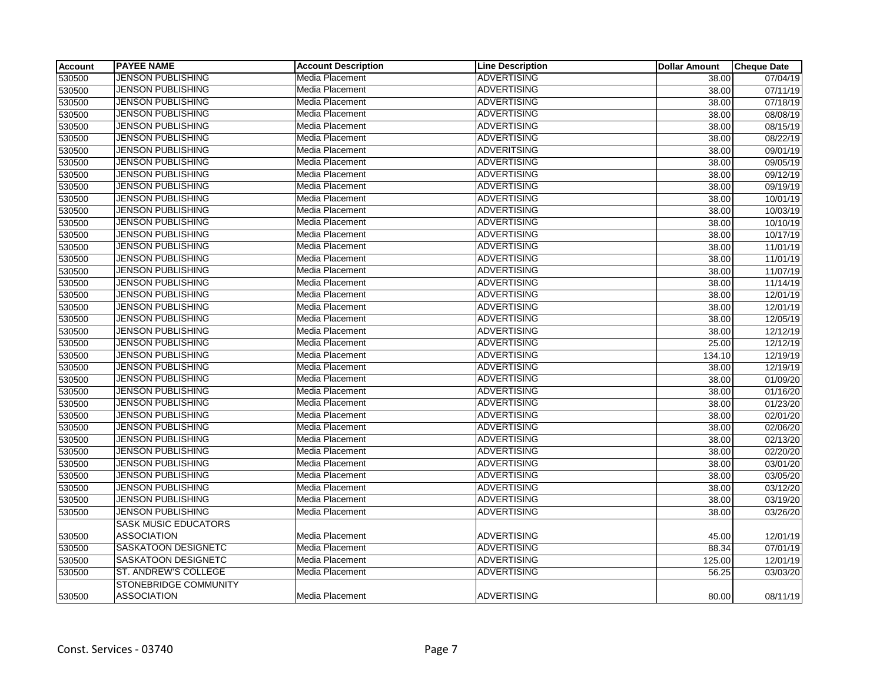| <b>Account</b> | <b>PAYEE NAME</b>           | <b>Account Description</b> | <b>Line Description</b> | <b>Dollar Amount</b> | <b>Cheque Date</b>    |
|----------------|-----------------------------|----------------------------|-------------------------|----------------------|-----------------------|
| 530500         | <b>JENSON PUBLISHING</b>    | Media Placement            | <b>ADVERTISING</b>      | 38.00                | 07/04/19              |
| 530500         | <b>JENSON PUBLISHING</b>    | Media Placement            | <b>ADVERTISING</b>      | 38.00                | 07/11/19              |
| 530500         | JENSON PUBLISHING           | Media Placement            | <b>ADVERTISING</b>      | 38.00                | $\overline{07/18/19}$ |
| 530500         | <b>JENSON PUBLISHING</b>    | Media Placement            | <b>ADVERTISING</b>      | 38.00                | 08/08/19              |
| 530500         | <b>JENSON PUBLISHING</b>    | Media Placement            | <b>ADVERTISING</b>      | 38.00                | 08/15/19              |
| 530500         | <b>JENSON PUBLISHING</b>    | Media Placement            | <b>ADVERTISING</b>      | 38.00                | 08/22/19              |
| 530500         | <b>JENSON PUBLISHING</b>    | Media Placement            | <b>ADVERITSING</b>      | 38.00                | 09/01/19              |
| 530500         | JENSON PUBLISHING           | Media Placement            | <b>ADVERTISING</b>      | 38.00                | 09/05/19              |
| 530500         | <b>JENSON PUBLISHING</b>    | Media Placement            | <b>ADVERTISING</b>      | 38.00                | 09/12/19              |
| 530500         | <b>JENSON PUBLISHING</b>    | Media Placement            | <b>ADVERTISING</b>      | 38.00                | 09/19/19              |
| 530500         | <b>JENSON PUBLISHING</b>    | Media Placement            | <b>ADVERTISING</b>      | 38.00                | 10/01/19              |
| 530500         | JENSON PUBLISHING           | Media Placement            | <b>ADVERTISING</b>      | 38.00                | 10/03/19              |
| 530500         | <b>JENSON PUBLISHING</b>    | Media Placement            | <b>ADVERTISING</b>      | 38.00                | 10/10/19              |
| 530500         | <b>JENSON PUBLISHING</b>    | Media Placement            | <b>ADVERTISING</b>      | 38.00                | 10/17/19              |
| 530500         | <b>JENSON PUBLISHING</b>    | Media Placement            | <b>ADVERTISING</b>      | 38.00                | 11/01/19              |
| 530500         | <b>JENSON PUBLISHING</b>    | Media Placement            | <b>ADVERTISING</b>      | 38.00                | 11/01/19              |
| 530500         | <b>JENSON PUBLISHING</b>    | Media Placement            | <b>ADVERTISING</b>      | 38.00                | 11/07/19              |
| 530500         | JENSON PUBLISHING           | Media Placement            | <b>ADVERTISING</b>      | 38.00                | 11/14/19              |
| 530500         | <b>JENSON PUBLISHING</b>    | Media Placement            | <b>ADVERTISING</b>      | 38.00                | 12/01/19              |
| 530500         | <b>JENSON PUBLISHING</b>    | Media Placement            | <b>ADVERTISING</b>      | 38.00                | 12/01/19              |
| 530500         | JENSON PUBLISHING           | Media Placement            | <b>ADVERTISING</b>      | 38.00                | 12/05/19              |
| 530500         | <b>JENSON PUBLISHING</b>    | Media Placement            | <b>ADVERTISING</b>      | 38.00                | 12/12/19              |
| 530500         | <b>JENSON PUBLISHING</b>    | Media Placement            | <b>ADVERTISING</b>      | 25.00                | 12/12/19              |
| 530500         | <b>JENSON PUBLISHING</b>    | Media Placement            | <b>ADVERTISING</b>      | 134.10               | 12/19/19              |
| 530500         | <b>JENSON PUBLISHING</b>    | Media Placement            | <b>ADVERTISING</b>      | 38.00                | 12/19/19              |
| 530500         | JENSON PUBLISHING           | Media Placement            | <b>ADVERTISING</b>      | 38.00                | 01/09/20              |
| 530500         | <b>JENSON PUBLISHING</b>    | Media Placement            | <b>ADVERTISING</b>      | 38.00                | 01/16/20              |
| 530500         | JENSON PUBLISHING           | Media Placement            | <b>ADVERTISING</b>      | 38.00                | 01/23/20              |
| 530500         | <b>JENSON PUBLISHING</b>    | Media Placement            | <b>ADVERTISING</b>      | 38.00                | 02/01/20              |
| 530500         | <b>JENSON PUBLISHING</b>    | Media Placement            | <b>ADVERTISING</b>      | 38.00                | 02/06/20              |
| 530500         | JENSON PUBLISHING           | Media Placement            | <b>ADVERTISING</b>      | 38.00                | 02/13/20              |
| 530500         | <b>JENSON PUBLISHING</b>    | Media Placement            | <b>ADVERTISING</b>      | 38.00                | 02/20/20              |
| 530500         | <b>JENSON PUBLISHING</b>    | Media Placement            | <b>ADVERTISING</b>      | 38.00                | 03/01/20              |
| 530500         | <b>JENSON PUBLISHING</b>    | Media Placement            | <b>ADVERTISING</b>      | 38.00                | 03/05/20              |
| 530500         | <b>JENSON PUBLISHING</b>    | Media Placement            | <b>ADVERTISING</b>      | 38.00                | 03/12/20              |
| 530500         | <b>JENSON PUBLISHING</b>    | Media Placement            | <b>ADVERTISING</b>      | 38.00                | 03/19/20              |
| 530500         | <b>JENSON PUBLISHING</b>    | Media Placement            | <b>ADVERTISING</b>      | 38.00                | 03/26/20              |
|                | <b>SASK MUSIC EDUCATORS</b> |                            |                         |                      |                       |
| 530500         | <b>ASSOCIATION</b>          | Media Placement            | <b>ADVERTISING</b>      | 45.00                | 12/01/19              |
| 530500         | SASKATOON DESIGNETC         | Media Placement            | <b>ADVERTISING</b>      | 88.34                | 07/01/19              |
| 530500         | <b>SASKATOON DESIGNETC</b>  | Media Placement            | <b>ADVERTISING</b>      | 125.00               | 12/01/19              |
| 530500         | <b>ST. ANDREW'S COLLEGE</b> | Media Placement            | <b>ADVERTISING</b>      | 56.25                | 03/03/20              |
|                | STONEBRIDGE COMMUNITY       |                            |                         |                      |                       |
| 530500         | <b>ASSOCIATION</b>          | Media Placement            | <b>ADVERTISING</b>      | 80.00                | 08/11/19              |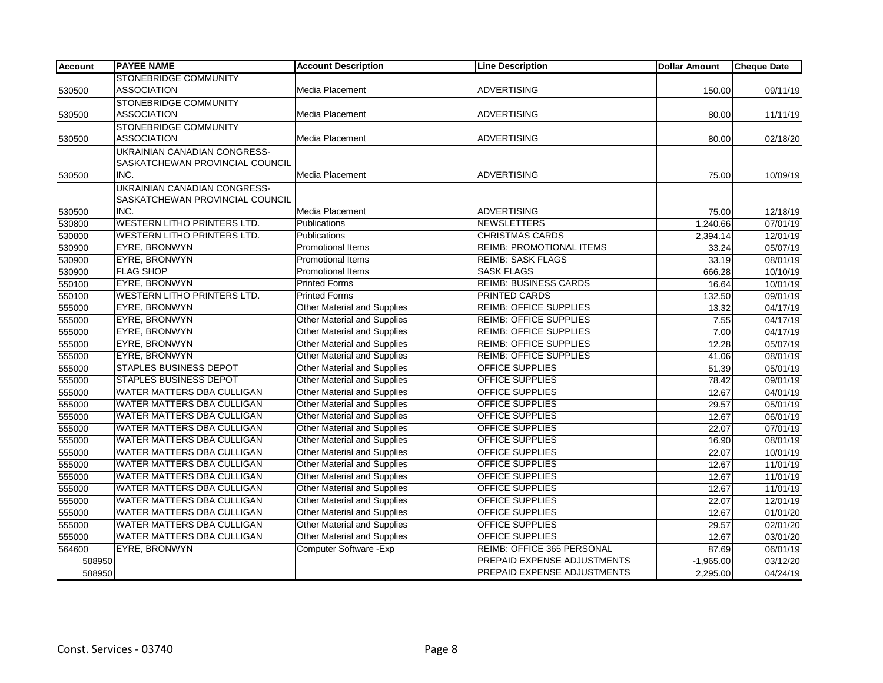| <b>Account</b> | <b>PAYEE NAME</b>                                                      | <b>Account Description</b>         | <b>Line Description</b>         | <b>Dollar Amount</b> | <b>Cheque Date</b> |
|----------------|------------------------------------------------------------------------|------------------------------------|---------------------------------|----------------------|--------------------|
|                | <b>STONEBRIDGE COMMUNITY</b>                                           |                                    |                                 |                      |                    |
| 530500         | <b>ASSOCIATION</b>                                                     | Media Placement                    | <b>ADVERTISING</b>              | 150.00               | 09/11/19           |
|                | STONEBRIDGE COMMUNITY                                                  |                                    |                                 |                      |                    |
| 530500         | <b>ASSOCIATION</b>                                                     | Media Placement                    | <b>ADVERTISING</b>              | 80.00                | 11/11/19           |
|                | <b>STONEBRIDGE COMMUNITY</b>                                           |                                    |                                 |                      |                    |
| 530500         | <b>ASSOCIATION</b>                                                     | Media Placement                    | <b>ADVERTISING</b>              | 80.00                | 02/18/20           |
|                | UKRAINIAN CANADIAN CONGRESS-<br><b>SASKATCHEWAN PROVINCIAL COUNCIL</b> |                                    |                                 |                      |                    |
| 530500         | INC.                                                                   | Media Placement                    | <b>ADVERTISING</b>              | 75.00                | 10/09/19           |
|                | UKRAINIAN CANADIAN CONGRESS-                                           |                                    |                                 |                      |                    |
|                | SASKATCHEWAN PROVINCIAL COUNCIL                                        |                                    |                                 |                      |                    |
| 530500         | INC.                                                                   | Media Placement                    | <b>ADVERTISING</b>              | 75.00                | 12/18/19           |
| 530800         | <b>WESTERN LITHO PRINTERS LTD.</b>                                     | Publications                       | <b>NEWSLETTERS</b>              | 1,240.66             | 07/01/19           |
| 530800         | <b>WESTERN LITHO PRINTERS LTD.</b>                                     | Publications                       | <b>CHRISTMAS CARDS</b>          | 2,394.14             | 12/01/19           |
| 530900         | <b>EYRE, BRONWYN</b>                                                   | Promotional Items                  | <b>REIMB: PROMOTIONAL ITEMS</b> | 33.24                | 05/07/19           |
| 530900         | <b>EYRE, BRONWYN</b>                                                   | <b>Promotional Items</b>           | <b>REIMB: SASK FLAGS</b>        | 33.19                | 08/01/19           |
| 530900         | <b>FLAG SHOP</b>                                                       | <b>Promotional Items</b>           | <b>SASK FLAGS</b>               | 666.28               | 10/10/19           |
| 550100         | <b>EYRE, BRONWYN</b>                                                   | <b>Printed Forms</b>               | <b>REIMB: BUSINESS CARDS</b>    | 16.64                | 10/01/19           |
| 550100         | <b>WESTERN LITHO PRINTERS LTD.</b>                                     | <b>Printed Forms</b>               | <b>PRINTED CARDS</b>            | 132.50               | 09/01/19           |
| 555000         | <b>EYRE, BRONWYN</b>                                                   | Other Material and Supplies        | <b>REIMB: OFFICE SUPPLIES</b>   | 13.32                | 04/17/19           |
| 555000         | <b>EYRE, BRONWYN</b>                                                   | <b>Other Material and Supplies</b> | <b>REIMB: OFFICE SUPPLIES</b>   | 7.55                 | 04/17/19           |
| 555000         | <b>EYRE, BRONWYN</b>                                                   | <b>Other Material and Supplies</b> | <b>REIMB: OFFICE SUPPLIES</b>   | 7.00                 | 04/17/19           |
| 555000         | EYRE, BRONWYN                                                          | <b>Other Material and Supplies</b> | <b>REIMB: OFFICE SUPPLIES</b>   | 12.28                | 05/07/19           |
| 555000         | <b>EYRE, BRONWYN</b>                                                   | <b>Other Material and Supplies</b> | <b>REIMB: OFFICE SUPPLIES</b>   | 41.06                | 08/01/19           |
| 555000         | <b>STAPLES BUSINESS DEPOT</b>                                          | Other Material and Supplies        | <b>OFFICE SUPPLIES</b>          | 51.39                | 05/01/19           |
| 555000         | <b>STAPLES BUSINESS DEPOT</b>                                          | Other Material and Supplies        | <b>OFFICE SUPPLIES</b>          | 78.42                | 09/01/19           |
| 555000         | WATER MATTERS DBA CULLIGAN                                             | Other Material and Supplies        | <b>OFFICE SUPPLIES</b>          | 12.67                | 04/01/19           |
| 555000         | <b>WATER MATTERS DBA CULLIGAN</b>                                      | Other Material and Supplies        | <b>OFFICE SUPPLIES</b>          | 29.57                | 05/01/19           |
| 555000         | <b>WATER MATTERS DBA CULLIGAN</b>                                      | <b>Other Material and Supplies</b> | <b>OFFICE SUPPLIES</b>          | 12.67                | 06/01/19           |
| 555000         | <b>WATER MATTERS DBA CULLIGAN</b>                                      | <b>Other Material and Supplies</b> | <b>OFFICE SUPPLIES</b>          | 22.07                | 07/01/19           |
| 555000         | <b>WATER MATTERS DBA CULLIGAN</b>                                      | Other Material and Supplies        | <b>OFFICE SUPPLIES</b>          | 16.90                | 08/01/19           |
| 555000         | <b>WATER MATTERS DBA CULLIGAN</b>                                      | <b>Other Material and Supplies</b> | <b>OFFICE SUPPLIES</b>          | 22.07                | 10/01/19           |
| 555000         | <b>WATER MATTERS DBA CULLIGAN</b>                                      | <b>Other Material and Supplies</b> | <b>OFFICE SUPPLIES</b>          | 12.67                | 11/01/19           |
| 555000         | <b>WATER MATTERS DBA CULLIGAN</b>                                      | <b>Other Material and Supplies</b> | <b>OFFICE SUPPLIES</b>          | 12.67                | 11/01/19           |
| 555000         | WATER MATTERS DBA CULLIGAN                                             | <b>Other Material and Supplies</b> | <b>OFFICE SUPPLIES</b>          | 12.67                | 11/01/19           |
| 555000         | WATER MATTERS DBA CULLIGAN                                             | <b>Other Material and Supplies</b> | <b>OFFICE SUPPLIES</b>          | 22.07                | 12/01/19           |
| 555000         | <b>WATER MATTERS DBA CULLIGAN</b>                                      | Other Material and Supplies        | <b>OFFICE SUPPLIES</b>          | 12.67                | 01/01/20           |
| 555000         | <b>WATER MATTERS DBA CULLIGAN</b>                                      | <b>Other Material and Supplies</b> | <b>OFFICE SUPPLIES</b>          | 29.57                | 02/01/20           |
| 555000         | WATER MATTERS DBA CULLIGAN                                             | Other Material and Supplies        | <b>OFFICE SUPPLIES</b>          | 12.67                | 03/01/20           |
| 564600         | <b>EYRE, BRONWYN</b>                                                   | Computer Software - Exp            | REIMB: OFFICE 365 PERSONAL      | 87.69                | 06/01/19           |
| 588950         |                                                                        |                                    | PREPAID EXPENSE ADJUSTMENTS     | $-1,965.00$          | 03/12/20           |
| 588950         |                                                                        |                                    | PREPAID EXPENSE ADJUSTMENTS     | 2,295.00             | 04/24/19           |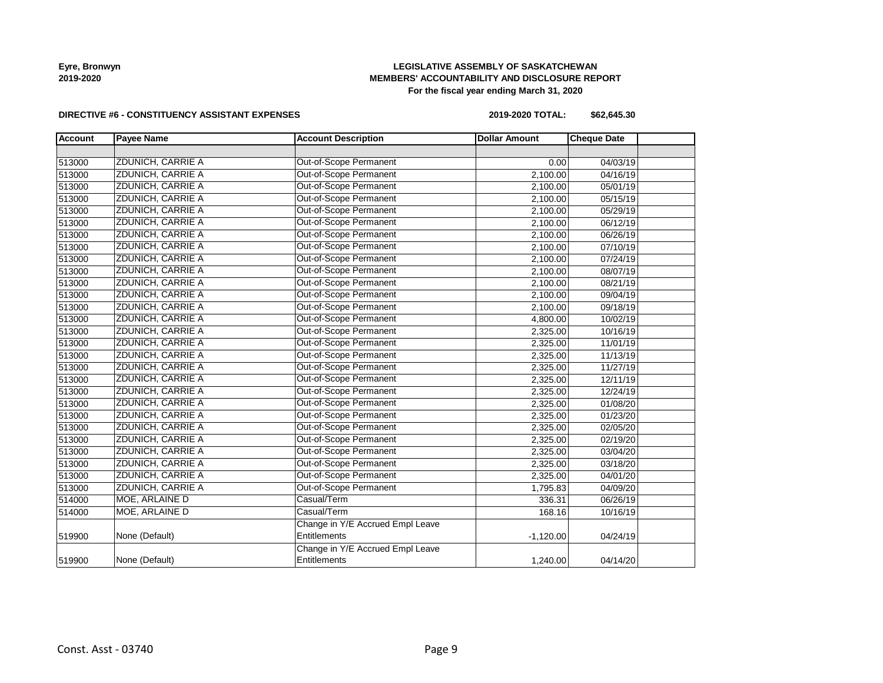# **LEGISLATIVE ASSEMBLY OF SASKATCHEWAN MEMBERS' ACCOUNTABILITY AND DISCLOSURE REPORT For the fiscal year ending March 31, 2020**

### **DIRECTIVE #6 - CONSTITUENCY ASSISTANT EXPENSES**

**2019-2020 TOTAL: \$62,645.30**

| <b>Account</b> | <b>Payee Name</b>        | <b>Account Description</b>       | <b>Dollar Amount</b> | <b>Cheque Date</b> |  |
|----------------|--------------------------|----------------------------------|----------------------|--------------------|--|
|                |                          |                                  |                      |                    |  |
| 513000         | <b>ZDUNICH, CARRIE A</b> | <b>Out-of-Scope Permanent</b>    | 0.00                 | 04/03/19           |  |
| 513000         | <b>ZDUNICH, CARRIE A</b> | Out-of-Scope Permanent           | 2,100.00             | 04/16/19           |  |
| 513000         | ZDUNICH, CARRIE A        | Out-of-Scope Permanent           | 2,100.00             | 05/01/19           |  |
| 513000         | ZDUNICH, CARRIE A        | Out-of-Scope Permanent           | 2,100.00             | 05/15/19           |  |
| 513000         | ZDUNICH, CARRIE A        | Out-of-Scope Permanent           | 2,100.00             | 05/29/19           |  |
| 513000         | ZDUNICH, CARRIE A        | Out-of-Scope Permanent           | 2,100.00             | 06/12/19           |  |
| 513000         | ZDUNICH, CARRIE A        | Out-of-Scope Permanent           | 2,100.00             | 06/26/19           |  |
| 513000         | ZDUNICH, CARRIE A        | Out-of-Scope Permanent           | 2,100.00             | 07/10/19           |  |
| 513000         | ZDUNICH, CARRIE A        | Out-of-Scope Permanent           | 2,100.00             | 07/24/19           |  |
| 513000         | ZDUNICH, CARRIE A        | Out-of-Scope Permanent           | 2,100.00             | 08/07/19           |  |
| 513000         | ZDUNICH, CARRIE A        | Out-of-Scope Permanent           | 2,100.00             | 08/21/19           |  |
| 513000         | ZDUNICH, CARRIE A        | Out-of-Scope Permanent           | 2,100.00             | 09/04/19           |  |
| 513000         | ZDUNICH, CARRIE A        | Out-of-Scope Permanent           | 2,100.00             | 09/18/19           |  |
| 513000         | ZDUNICH, CARRIE A        | Out-of-Scope Permanent           | 4,800.00             | 10/02/19           |  |
| 513000         | ZDUNICH, CARRIE A        | Out-of-Scope Permanent           | 2,325.00             | 10/16/19           |  |
| 513000         | ZDUNICH, CARRIE A        | Out-of-Scope Permanent           | 2,325.00             | 11/01/19           |  |
| 513000         | ZDUNICH, CARRIE A        | Out-of-Scope Permanent           | 2,325.00             | 11/13/19           |  |
| 513000         | <b>ZDUNICH, CARRIE A</b> | Out-of-Scope Permanent           | 2,325.00             | 11/27/19           |  |
| 513000         | ZDUNICH, CARRIE A        | Out-of-Scope Permanent           | 2,325.00             | 12/11/19           |  |
| 513000         | ZDUNICH, CARRIE A        | Out-of-Scope Permanent           | 2,325.00             | 12/24/19           |  |
| 513000         | ZDUNICH, CARRIE A        | Out-of-Scope Permanent           | 2,325.00             | 01/08/20           |  |
| 513000         | ZDUNICH, CARRIE A        | Out-of-Scope Permanent           | 2,325.00             | 01/23/20           |  |
| 513000         | ZDUNICH, CARRIE A        | Out-of-Scope Permanent           | 2,325.00             | 02/05/20           |  |
| 513000         | <b>ZDUNICH, CARRIE A</b> | Out-of-Scope Permanent           | 2,325.00             | 02/19/20           |  |
| 513000         | <b>ZDUNICH, CARRIE A</b> | Out-of-Scope Permanent           | 2,325.00             | 03/04/20           |  |
| 513000         | ZDUNICH, CARRIE A        | Out-of-Scope Permanent           | 2,325.00             | 03/18/20           |  |
| 513000         | ZDUNICH, CARRIE A        | Out-of-Scope Permanent           | 2,325.00             | 04/01/20           |  |
| 513000         | ZDUNICH, CARRIE A        | Out-of-Scope Permanent           | 1,795.83             | 04/09/20           |  |
| 514000         | MOE, ARLAINE D           | Casual/Term                      | 336.31               | 06/26/19           |  |
| 514000         | MOE, ARLAINE D           | Casual/Term                      | 168.16               | 10/16/19           |  |
|                |                          | Change in Y/E Accrued Empl Leave |                      |                    |  |
| 519900         | None (Default)           | Entitlements                     | $-1,120.00$          | 04/24/19           |  |
|                |                          | Change in Y/E Accrued Empl Leave |                      |                    |  |
| 519900         | None (Default)           | Entitlements                     | 1,240.00             | 04/14/20           |  |
|                |                          |                                  |                      |                    |  |